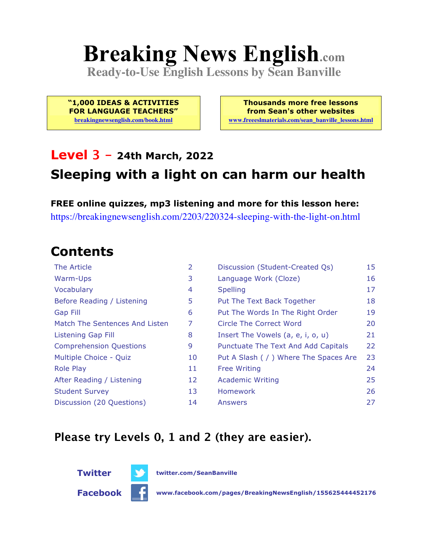# **Breaking News English.com**

**Ready-to-Use English Lessons by Sean Banville**

**"1,000 IDEAS & ACTIVITIES FOR LANGUAGE TEACHERS"**

**breakingnewsenglish.com/book.html**

**Thousands more free lessons from Sean's other websites www.freeeslmaterials.com/sean\_banville\_lessons.html**

#### **Level 3 - 24th March, 2022 Sleeping with a light on can harm our health**

**FREE online quizzes, mp3 listening and more for this lesson here:** https://breakingnewsenglish.com/2203/220324-sleeping-with-the-light-on.html

### **Contents**

| The Article                    | $\overline{2}$ | Discussion (Student-Created Qs)        | 15 |
|--------------------------------|----------------|----------------------------------------|----|
| Warm-Ups                       | 3              | Language Work (Cloze)                  | 16 |
| Vocabulary                     | 4              | <b>Spelling</b>                        | 17 |
| Before Reading / Listening     | 5              | Put The Text Back Together             | 18 |
| Gap Fill                       | 6              | Put The Words In The Right Order       | 19 |
| Match The Sentences And Listen | 7              | Circle The Correct Word                | 20 |
| Listening Gap Fill             | 8              | Insert The Vowels (a, e, i, o, u)      | 21 |
| <b>Comprehension Questions</b> | 9              | Punctuate The Text And Add Capitals    | 22 |
| Multiple Choice - Quiz         | 10             | Put A Slash ( / ) Where The Spaces Are | 23 |
| <b>Role Play</b>               | 11             | <b>Free Writing</b>                    | 24 |
| After Reading / Listening      | 12             | <b>Academic Writing</b>                | 25 |
| <b>Student Survey</b>          | 13             | Homework                               | 26 |
| Discussion (20 Questions)      | 14             | Answers                                | 27 |

#### **Please try Levels 0, 1 and 2 (they are easier).**



**Twitter twitter.com/SeanBanville**

**Facebook www.facebook.com/pages/BreakingNewsEnglish/155625444452176**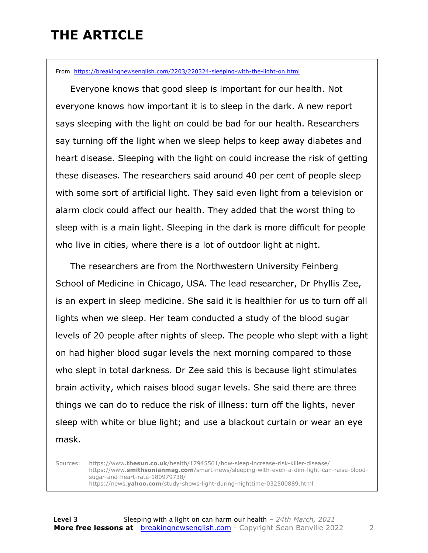### **THE ARTICLE**

From https://breakingnewsenglish.com/2203/220324-sleeping-with-the-light-on.html

 Everyone knows that good sleep is important for our health. Not everyone knows how important it is to sleep in the dark. A new report says sleeping with the light on could be bad for our health. Researchers say turning off the light when we sleep helps to keep away diabetes and heart disease. Sleeping with the light on could increase the risk of getting these diseases. The researchers said around 40 per cent of people sleep with some sort of artificial light. They said even light from a television or alarm clock could affect our health. They added that the worst thing to sleep with is a main light. Sleeping in the dark is more difficult for people who live in cities, where there is a lot of outdoor light at night.

 The researchers are from the Northwestern University Feinberg School of Medicine in Chicago, USA. The lead researcher, Dr Phyllis Zee, is an expert in sleep medicine. She said it is healthier for us to turn off all lights when we sleep. Her team conducted a study of the blood sugar levels of 20 people after nights of sleep. The people who slept with a light on had higher blood sugar levels the next morning compared to those who slept in total darkness. Dr Zee said this is because light stimulates brain activity, which raises blood sugar levels. She said there are three things we can do to reduce the risk of illness: turn off the lights, never sleep with white or blue light; and use a blackout curtain or wear an eye mask.

Sources: https://www**.thesun.co.uk**/health/17945561/how-sleep-increase-risk-killer-disease/ https://www.**smithsonianmag.com**/smart-news/sleeping-with-even-a-dim-light-can-raise-bloodsugar-and-heart-rate-180979738/ https://news.**yahoo.com**/study-shows-light-during-nighttime-032500889.html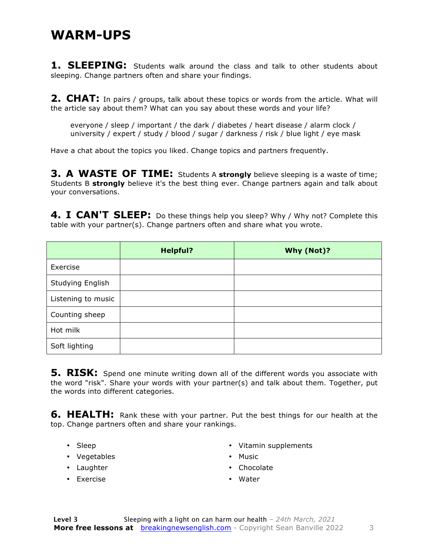#### **WARM-UPS**

**1. SLEEPING:** Students walk around the class and talk to other students about sleeping. Change partners often and share your findings.

**2. CHAT:** In pairs / groups, talk about these topics or words from the article. What will the article say about them? What can you say about these words and your life?

everyone / sleep / important / the dark / diabetes / heart disease / alarm clock / university / expert / study / blood / sugar / darkness / risk / blue light / eye mask

Have a chat about the topics you liked. Change topics and partners frequently.

**3. A WASTE OF TIME:** Students A **strongly** believe sleeping is a waste of time; Students B **strongly** believe it's the best thing ever. Change partners again and talk about your conversations.

4. I CAN'T SLEEP: Do these things help you sleep? Why / Why not? Complete this table with your partner(s). Change partners often and share what you wrote.

|                    | <b>Helpful?</b> | Why (Not)? |
|--------------------|-----------------|------------|
| Exercise           |                 |            |
| Studying English   |                 |            |
| Listening to music |                 |            |
| Counting sheep     |                 |            |
| Hot milk           |                 |            |
| Soft lighting      |                 |            |

**5. RISK:** Spend one minute writing down all of the different words you associate with the word "risk". Share your words with your partner(s) and talk about them. Together, put the words into different categories.

**6. HEALTH:** Rank these with your partner. Put the best things for our health at the top. Change partners often and share your rankings.

- Sleep
- Vegetables
- Laughter
- Exercise
- Vitamin supplements
- Music
- Chocolate
- Water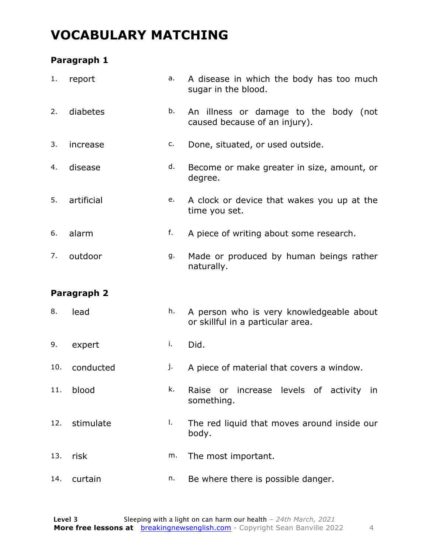### **VOCABULARY MATCHING**

#### **Paragraph 1**

| 1.  | report      | a. | A disease in which the body has too much<br>sugar in the blood.               |
|-----|-------------|----|-------------------------------------------------------------------------------|
| 2.  | diabetes    | b. | An illness or damage to the body (not<br>caused because of an injury).        |
| 3.  | increase    | c. | Done, situated, or used outside.                                              |
| 4.  | disease     | d. | Become or make greater in size, amount, or<br>degree.                         |
| 5.  | artificial  | e. | A clock or device that wakes you up at the<br>time you set.                   |
| 6.  | alarm       | f. | A piece of writing about some research.                                       |
| 7.  | outdoor     | g. | Made or produced by human beings rather<br>naturally.                         |
|     | Paragraph 2 |    |                                                                               |
|     |             |    |                                                                               |
| 8.  | lead        | h. | A person who is very knowledgeable about<br>or skillful in a particular area. |
| 9.  | expert      | i. | Did.                                                                          |
| 10. | conducted   | j. | A piece of material that covers a window.                                     |
| 11. | blood       | k. | Raise or increase levels of activity in<br>something.                         |
| 12. | stimulate   | I. | The red liquid that moves around inside our<br>body.                          |
| 13. | risk        | m. | The most important.                                                           |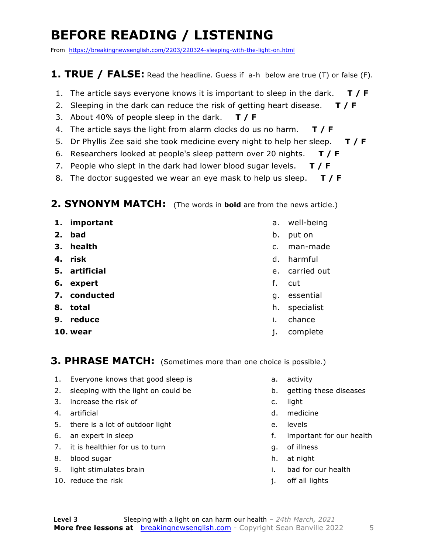### **BEFORE READING / LISTENING**

From https://breakingnewsenglish.com/2203/220324-sleeping-with-the-light-on.html

#### **1. TRUE / FALSE:** Read the headline. Guess if a-h below are true (T) or false (F).

- 1. The article says everyone knows it is important to sleep in the dark. **T / F**
- 2. Sleeping in the dark can reduce the risk of getting heart disease. **T / F**
- 3. About 40% of people sleep in the dark. **T / F**
- 4. The article says the light from alarm clocks do us no harm. **T / F**
- 5. Dr Phyllis Zee said she took medicine every night to help her sleep. **T / F**
- 6. Researchers looked at people's sleep pattern over 20 nights. **T / F**
- 7. People who slept in the dark had lower blood sugar levels. **T / F**
- 8. The doctor suggested we wear an eye mask to help us sleep. **T / F**

#### **2. SYNONYM MATCH:** (The words in **bold** are from the news article.)

- **1. important**
- **2. bad**
- **3. health**
- **4. risk**
- **5. artificial**
- **6. expert**
- **7. conducted**
- **8. total**
- **9. reduce**
- **10. wear**
- a. well-being
- b. put on
- c. man-made
- d. harmful
- e. carried out
- f. cut
- g. essential
- h. specialist
- i. chance
- j. complete

#### **3. PHRASE MATCH:** (Sometimes more than one choice is possible.)

- 1. Everyone knows that good sleep is
- 2. sleeping with the light on could be
- 3. increase the risk of
- 4. artificial
- 5. there is a lot of outdoor light
- 6. an expert in sleep
- 7. it is healthier for us to turn
- 8. blood sugar
- 9. light stimulates brain
- 10. reduce the risk
- a. activity
- b. getting these diseases
- c. light
- d. medicine
- e. levels
- f. important for our health
- g. of illness
- h. at night
- i. bad for our health
- j. off all lights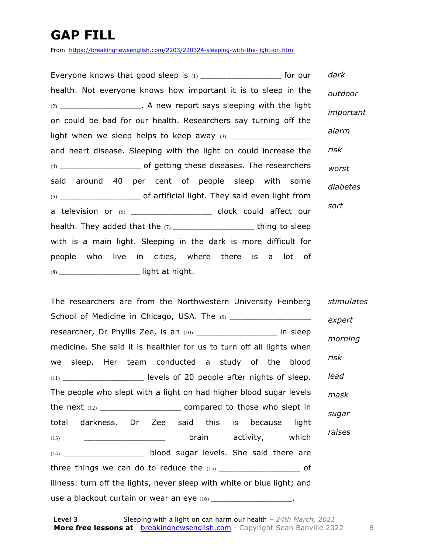### **GAP FILL**

From https://breakingnewsenglish.com/2203/220324-sleeping-with-the-light-on.html

Everyone knows that good sleep is (1) \_\_\_\_\_\_\_\_\_\_\_\_\_\_\_\_\_\_\_\_\_\_\_\_ for our health. Not everyone knows how important it is to sleep in the  $(2)$  \_\_\_\_\_\_\_\_\_\_\_\_\_\_\_\_\_\_\_\_\_\_. A new report says sleeping with the light on could be bad for our health. Researchers say turning off the light when we sleep helps to keep away (3) \_\_\_\_\_\_\_\_\_\_\_\_\_\_\_\_\_\_\_\_\_ and heart disease. Sleeping with the light on could increase the (4) \_\_\_\_\_\_\_\_\_\_\_\_\_\_\_\_\_\_\_\_\_ of getting these diseases. The researchers said around 40 per cent of people sleep with some (5) \_\_\_\_\_\_\_\_\_\_\_\_\_\_\_\_\_\_\_\_\_ of artificial light. They said even light from a television or (6) \_\_\_\_\_\_\_\_\_\_\_\_\_\_\_\_\_\_\_\_\_ clock could affect our health. They added that the  $(7)$  \_\_\_\_\_\_\_\_\_\_\_\_\_\_\_\_\_\_\_\_\_\_\_\_ thing to sleep with is a main light. Sleeping in the dark is more difficult for people who live in cities, where there is a lot of (8) \_\_\_\_\_\_\_\_\_\_\_\_\_\_\_\_\_\_\_\_\_ light at night. *dark outdoor important alarm risk worst diabetes sort*

The researchers are from the Northwestern University Feinberg School of Medicine in Chicago, USA. The (9) \_\_\_\_\_\_\_\_\_\_\_\_\_\_\_\_\_\_\_\_\_\_\_\_ researcher, Dr Phyllis Zee, is an (10) \_\_\_\_\_\_\_\_\_\_\_\_\_\_\_\_\_\_\_\_\_\_\_ in sleep medicine. She said it is healthier for us to turn off all lights when we sleep. Her team conducted a study of the blood  $(11)$  levels of 20 people after nights of sleep. The people who slept with a light on had higher blood sugar levels the next  $(12)$  \_\_\_\_\_\_\_\_\_\_\_\_\_\_\_\_\_\_\_\_\_\_\_\_\_\_\_ compared to those who slept in total darkness. Dr Zee said this is because light (13) \_\_\_\_\_\_\_\_\_\_\_\_\_\_\_\_\_\_\_\_\_ brain activity, which (14) \_\_\_\_\_\_\_\_\_\_\_\_\_\_\_\_\_\_\_\_\_ blood sugar levels. She said there are three things we can do to reduce the  $(15)$  \_\_\_\_\_\_\_\_\_\_\_\_\_\_\_\_\_\_\_\_\_\_\_ of illness: turn off the lights, never sleep with white or blue light; and use a blackout curtain or wear an eye (16) \_\_\_\_\_\_\_\_\_\_\_\_\_\_\_\_\_\_\_\_\_\_. *stimulates expert morning risk lead mask sugar raises*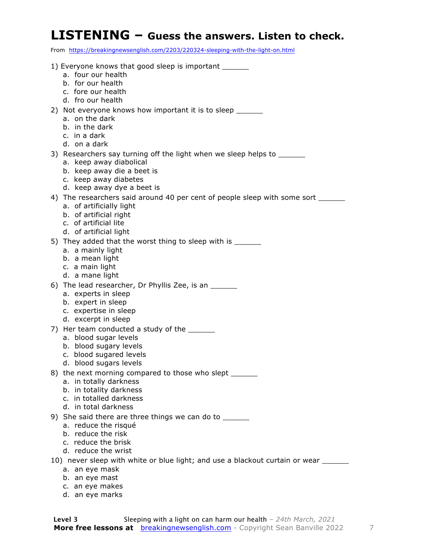#### **LISTENING – Guess the answers. Listen to check.**

From https://breakingnewsenglish.com/2203/220324-sleeping-with-the-light-on.html

| 1) Everyone knows that good sleep is important ______                              |
|------------------------------------------------------------------------------------|
| a. four our health                                                                 |
| b. for our health                                                                  |
| c. fore our health                                                                 |
| d. fro our health                                                                  |
| 2) Not everyone knows how important it is to sleep _______                         |
| a. on the dark                                                                     |
| b. in the dark                                                                     |
| c. in a dark                                                                       |
| d. on a dark                                                                       |
| 3) Researchers say turning off the light when we sleep helps to ________________   |
| a. keep away diabolical                                                            |
| b. keep away die a beet is                                                         |
| c. keep away diabetes                                                              |
| d. keep away dye a beet is                                                         |
| 4) The researchers said around 40 per cent of people sleep with some sort ______   |
| a. of artificially light                                                           |
| b. of artificial right                                                             |
| c. of artificial lite                                                              |
|                                                                                    |
| d. of artificial light                                                             |
| 5) They added that the worst thing to sleep with is ______                         |
| a. a mainly light                                                                  |
| b. a mean light                                                                    |
| c. a main light                                                                    |
| d. a mane light                                                                    |
| 6) The lead researcher, Dr Phyllis Zee, is an ______                               |
| a. experts in sleep                                                                |
| b. expert in sleep                                                                 |
| c. expertise in sleep                                                              |
| d. excerpt in sleep                                                                |
| 7) Her team conducted a study of the ______                                        |
| a. blood sugar levels                                                              |
| b. blood sugary levels                                                             |
| c. blood sugared levels                                                            |
| d. blood sugars levels                                                             |
| 8) the next morning compared to those who slept ______                             |
| a. in totally darkness                                                             |
| b. in totality darkness                                                            |
| c. in totalled darkness                                                            |
| d. in total darkness                                                               |
| 9) She said there are three things we can do to _______                            |
| a. reduce the risqué                                                               |
| b. reduce the risk                                                                 |
| c. reduce the brisk                                                                |
| d. reduce the wrist                                                                |
| 10) never sleep with white or blue light; and use a blackout curtain or wear _____ |
| a. an eye mask                                                                     |
| b. an eye mast                                                                     |
|                                                                                    |

- c. an eye makes
	- d. an eye marks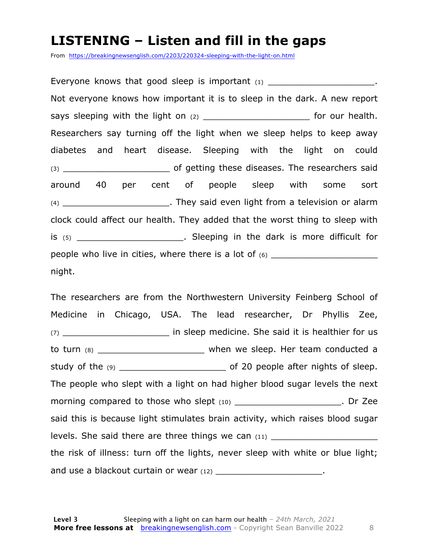#### **LISTENING – Listen and fill in the gaps**

From https://breakingnewsenglish.com/2203/220324-sleeping-with-the-light-on.html

Everyone knows that good sleep is important  $(1)$ Not everyone knows how important it is to sleep in the dark. A new report says sleeping with the light on (2) \_\_\_\_\_\_\_\_\_\_\_\_\_\_\_\_\_\_\_\_ for our health. Researchers say turning off the light when we sleep helps to keep away diabetes and heart disease. Sleeping with the light on could (3) \_\_\_\_\_\_\_\_\_\_\_\_\_\_\_\_\_\_\_\_ of getting these diseases. The researchers said around 40 per cent of people sleep with some sort (4) \_\_\_\_\_\_\_\_\_\_\_\_\_\_\_\_\_\_\_\_. They said even light from a television or alarm clock could affect our health. They added that the worst thing to sleep with is (5) \_\_\_\_\_\_\_\_\_\_\_\_\_\_\_\_\_\_\_\_. Sleeping in the dark is more difficult for people who live in cities, where there is a lot of (6) \_\_\_\_\_\_\_\_\_\_\_\_\_\_\_\_\_\_\_\_ night.

The researchers are from the Northwestern University Feinberg School of Medicine in Chicago, USA. The lead researcher, Dr Phyllis Zee, (7) **The in sleep medicine.** She said it is healthier for us to turn (8) \_\_\_\_\_\_\_\_\_\_\_\_\_\_\_\_\_\_\_\_ when we sleep. Her team conducted a study of the (9) \_\_\_\_\_\_\_\_\_\_\_\_\_\_\_\_\_\_\_\_ of 20 people after nights of sleep. The people who slept with a light on had higher blood sugar levels the next morning compared to those who slept (10) \_\_\_\_\_\_\_\_\_\_\_\_\_\_\_\_\_\_\_\_\_\_\_\_\_\_. Dr Zee said this is because light stimulates brain activity, which raises blood sugar levels. She said there are three things we can (11) \_\_\_\_\_\_\_\_\_\_\_\_\_\_\_\_\_\_\_\_\_\_\_\_\_\_\_\_ the risk of illness: turn off the lights, never sleep with white or blue light; and use a blackout curtain or wear (12) \_\_\_\_\_\_\_\_\_\_\_\_\_\_\_\_\_\_\_\_\_\_\_\_.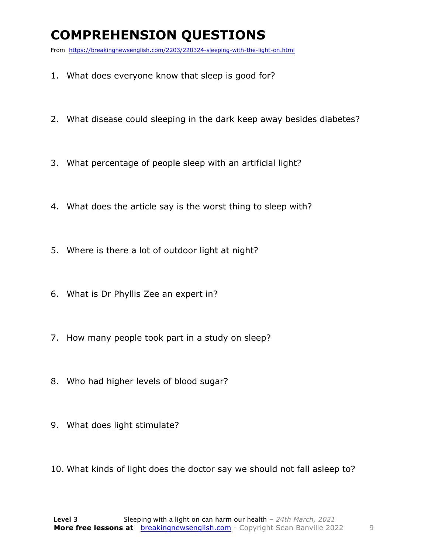### **COMPREHENSION QUESTIONS**

From https://breakingnewsenglish.com/2203/220324-sleeping-with-the-light-on.html

- 1. What does everyone know that sleep is good for?
- 2. What disease could sleeping in the dark keep away besides diabetes?
- 3. What percentage of people sleep with an artificial light?
- 4. What does the article say is the worst thing to sleep with?
- 5. Where is there a lot of outdoor light at night?
- 6. What is Dr Phyllis Zee an expert in?
- 7. How many people took part in a study on sleep?
- 8. Who had higher levels of blood sugar?
- 9. What does light stimulate?
- 10. What kinds of light does the doctor say we should not fall asleep to?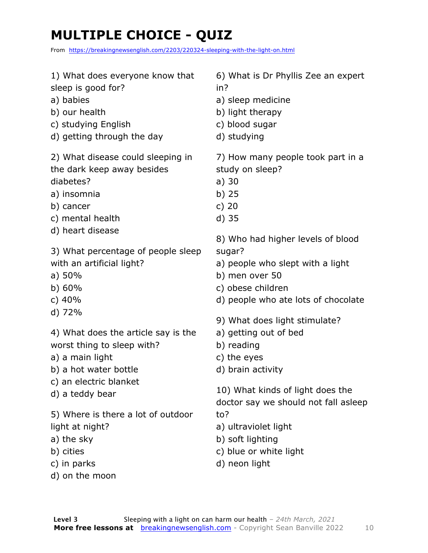### **MULTIPLE CHOICE - QUIZ**

From https://breakingnewsenglish.com/2203/220324-sleeping-with-the-light-on.html

| 1) What does everyone know that                                                                                   | 6) What is Dr Phyllis Zee an expert                                                        |
|-------------------------------------------------------------------------------------------------------------------|--------------------------------------------------------------------------------------------|
| sleep is good for?                                                                                                | in?                                                                                        |
| a) babies                                                                                                         | a) sleep medicine                                                                          |
| b) our health                                                                                                     | b) light therapy                                                                           |
| c) studying English                                                                                               | c) blood sugar                                                                             |
| d) getting through the day                                                                                        | d) studying                                                                                |
| 2) What disease could sleeping in                                                                                 | 7) How many people took part in a                                                          |
| the dark keep away besides                                                                                        | study on sleep?                                                                            |
| diabetes?                                                                                                         | a) 30                                                                                      |
| a) insomnia                                                                                                       | $b)$ 25                                                                                    |
| b) cancer                                                                                                         | c) $20$                                                                                    |
| c) mental health                                                                                                  | $d)$ 35                                                                                    |
| d) heart disease                                                                                                  | 8) Who had higher levels of blood                                                          |
| 3) What percentage of people sleep                                                                                | sugar?                                                                                     |
| with an artificial light?                                                                                         | a) people who slept with a light                                                           |
| a) 50%                                                                                                            | b) men over 50                                                                             |
| b) 60%                                                                                                            | c) obese children                                                                          |
| c) $40%$                                                                                                          | d) people who ate lots of chocolate                                                        |
| d) 72%                                                                                                            | 9) What does light stimulate?                                                              |
| 4) What does the article say is the                                                                               | a) getting out of bed                                                                      |
| worst thing to sleep with?                                                                                        | b) reading                                                                                 |
| a) a main light                                                                                                   | c) the eyes                                                                                |
| b) a hot water bottle                                                                                             | d) brain activity                                                                          |
| c) an electric blanket                                                                                            | 10) What kinds of light does the                                                           |
| d) a teddy bear                                                                                                   | doctor say we should not fall asleep                                                       |
| 5) Where is there a lot of outdoor<br>light at night?<br>a) the sky<br>b) cities<br>c) in parks<br>d) on the moon | to?<br>a) ultraviolet light<br>b) soft lighting<br>c) blue or white light<br>d) neon light |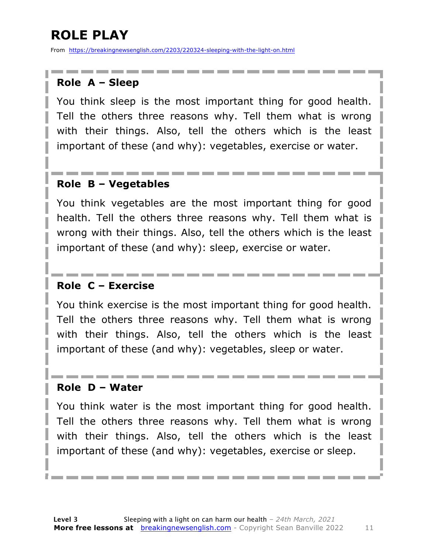### **ROLE PLAY**

From https://breakingnewsenglish.com/2203/220324-sleeping-with-the-light-on.html

#### **Role A – Sleep**

You think sleep is the most important thing for good health. Tell the others three reasons why. Tell them what is wrong with their things. Also, tell the others which is the least important of these (and why): vegetables, exercise or water.

#### **Role B – Vegetables**

You think vegetables are the most important thing for good health. Tell the others three reasons why. Tell them what is wrong with their things. Also, tell the others which is the least important of these (and why): sleep, exercise or water.

#### **Role C – Exercise**

You think exercise is the most important thing for good health. Tell the others three reasons why. Tell them what is wrong with their things. Also, tell the others which is the least important of these (and why): vegetables, sleep or water.

#### **Role D – Water**

You think water is the most important thing for good health. Tell the others three reasons why. Tell them what is wrong with their things. Also, tell the others which is the least important of these (and why): vegetables, exercise or sleep.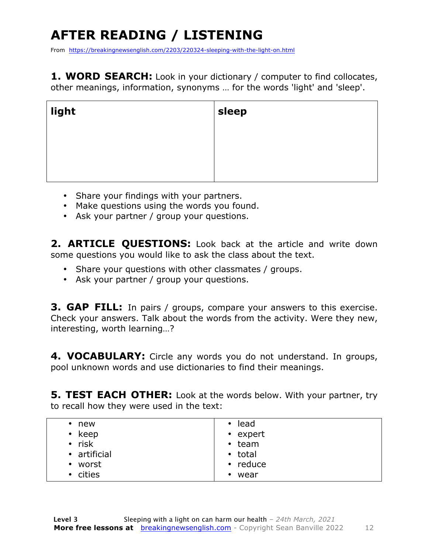## **AFTER READING / LISTENING**

From https://breakingnewsenglish.com/2203/220324-sleeping-with-the-light-on.html

**1. WORD SEARCH:** Look in your dictionary / computer to find collocates, other meanings, information, synonyms … for the words 'light' and 'sleep'.

| light | $\overline{\phantom{a}}$ sleep |
|-------|--------------------------------|
|       |                                |
|       |                                |
|       |                                |

- Share your findings with your partners.
- Make questions using the words you found.
- Ask your partner / group your questions.

2. **ARTICLE OUESTIONS:** Look back at the article and write down some questions you would like to ask the class about the text.

- Share your questions with other classmates / groups.
- Ask your partner / group your questions.

**3. GAP FILL:** In pairs / groups, compare your answers to this exercise. Check your answers. Talk about the words from the activity. Were they new, interesting, worth learning…?

**4. VOCABULARY:** Circle any words you do not understand. In groups, pool unknown words and use dictionaries to find their meanings.

**5. TEST EACH OTHER:** Look at the words below. With your partner, try to recall how they were used in the text:

| new<br>$\bullet$  | lead<br>$\bullet$ |
|-------------------|-------------------|
| keep<br>$\bullet$ | • expert          |
| $\cdot$ risk      | $\cdot$ team      |
| • artificial      | • total           |
| • worst           | $\cdot$ reduce    |
| • cities          | wear<br>$\bullet$ |
|                   |                   |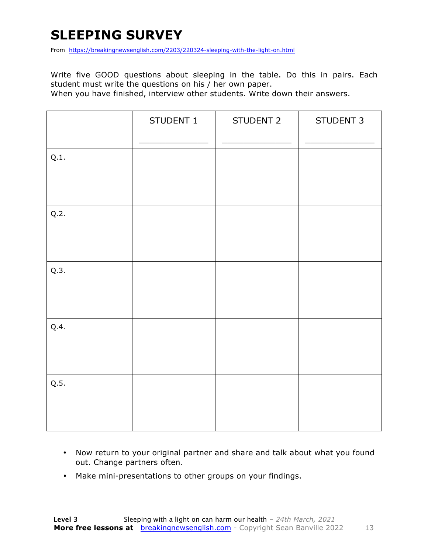### **SLEEPING SURVEY**

From https://breakingnewsenglish.com/2203/220324-sleeping-with-the-light-on.html

Write five GOOD questions about sleeping in the table. Do this in pairs. Each student must write the questions on his / her own paper.

When you have finished, interview other students. Write down their answers.

|      | STUDENT 1 | STUDENT 2 | STUDENT 3 |
|------|-----------|-----------|-----------|
| Q.1. |           |           |           |
| Q.2. |           |           |           |
| Q.3. |           |           |           |
| Q.4. |           |           |           |
| Q.5. |           |           |           |

- Now return to your original partner and share and talk about what you found out. Change partners often.
- Make mini-presentations to other groups on your findings.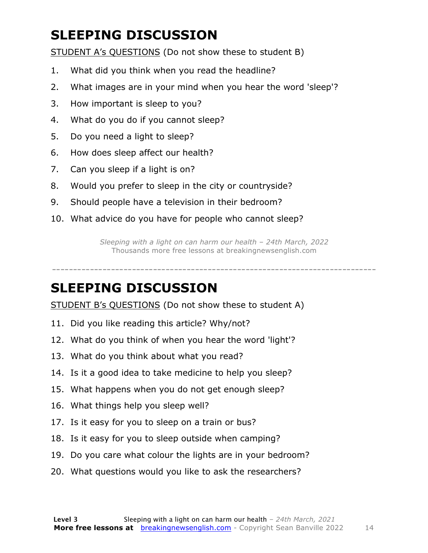### **SLEEPING DISCUSSION**

STUDENT A's QUESTIONS (Do not show these to student B)

- 1. What did you think when you read the headline?
- 2. What images are in your mind when you hear the word 'sleep'?
- 3. How important is sleep to you?
- 4. What do you do if you cannot sleep?
- 5. Do you need a light to sleep?
- 6. How does sleep affect our health?
- 7. Can you sleep if a light is on?
- 8. Would you prefer to sleep in the city or countryside?
- 9. Should people have a television in their bedroom?
- 10. What advice do you have for people who cannot sleep?

*Sleeping with a light on can harm our health – 24th March, 2022* Thousands more free lessons at breakingnewsenglish.com

-----------------------------------------------------------------------------

#### **SLEEPING DISCUSSION**

STUDENT B's QUESTIONS (Do not show these to student A)

- 11. Did you like reading this article? Why/not?
- 12. What do you think of when you hear the word 'light'?
- 13. What do you think about what you read?
- 14. Is it a good idea to take medicine to help you sleep?
- 15. What happens when you do not get enough sleep?
- 16. What things help you sleep well?
- 17. Is it easy for you to sleep on a train or bus?
- 18. Is it easy for you to sleep outside when camping?
- 19. Do you care what colour the lights are in your bedroom?
- 20. What questions would you like to ask the researchers?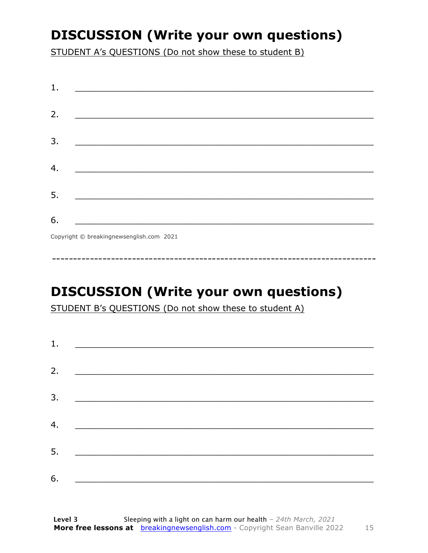### **DISCUSSION (Write your own questions)**

STUDENT A's QUESTIONS (Do not show these to student B)

| 1. |                                                                                                                 |
|----|-----------------------------------------------------------------------------------------------------------------|
|    |                                                                                                                 |
| 2. |                                                                                                                 |
|    |                                                                                                                 |
| 3. |                                                                                                                 |
|    |                                                                                                                 |
| 4. | the contract of the contract of the contract of the contract of the contract of the contract of the contract of |
|    |                                                                                                                 |
| 5. |                                                                                                                 |
|    |                                                                                                                 |
| 6. |                                                                                                                 |
|    | Copyright © breakingnewsenglish.com 2021                                                                        |

### **DISCUSSION (Write your own questions)**

STUDENT B's QUESTIONS (Do not show these to student A)

| 1. |                                                                                                                       |  |
|----|-----------------------------------------------------------------------------------------------------------------------|--|
| 2. |                                                                                                                       |  |
|    | <u> 1980 - Jan Samuel Barbara, margaret e</u> n 1980 eta 1980 eta 1980 eta 1980 eta 1980 eta 1980 eta 1980 eta 1980 e |  |
| 3. |                                                                                                                       |  |
| 4. | <u> 1980 - Johann Barn, mars ann an t-Amhain an t-Amhain an t-Amhain an t-Amhain an t-Amhain an t-Amhain an t-Amh</u> |  |
|    |                                                                                                                       |  |
| 5. | <u> 1980 - Johann Barbara, martin din bashkar (</u>                                                                   |  |
| 6. | <u> 1989 - Jan Stein Stein, fransk politik (f. 1989)</u>                                                              |  |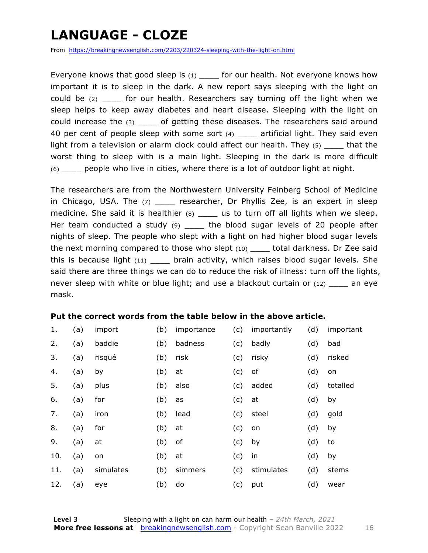### **LANGUAGE - CLOZE**

From https://breakingnewsenglish.com/2203/220324-sleeping-with-the-light-on.html

Everyone knows that good sleep is  $(1)$  for our health. Not everyone knows how important it is to sleep in the dark. A new report says sleeping with the light on could be (2) could be (2) cour health. Researchers say turning off the light when we sleep helps to keep away diabetes and heart disease. Sleeping with the light on could increase the (3) \_\_\_\_ of getting these diseases. The researchers said around 40 per cent of people sleep with some sort (4) artificial light. They said even light from a television or alarm clock could affect our health. They (5) that the worst thing to sleep with is a main light. Sleeping in the dark is more difficult (6) \_\_\_\_ people who live in cities, where there is a lot of outdoor light at night.

The researchers are from the Northwestern University Feinberg School of Medicine in Chicago, USA. The (7) \_\_\_\_\_ researcher, Dr Phyllis Zee, is an expert in sleep medicine. She said it is healthier (8) \_\_\_\_ us to turn off all lights when we sleep. Her team conducted a study (9) \_\_\_\_\_ the blood sugar levels of 20 people after nights of sleep. The people who slept with a light on had higher blood sugar levels the next morning compared to those who slept (10) \_\_\_\_ total darkness. Dr Zee said this is because light  $(11)$  \_\_\_\_ brain activity, which raises blood sugar levels. She said there are three things we can do to reduce the risk of illness: turn off the lights, never sleep with white or blue light; and use a blackout curtain or (12) \_\_\_\_ an eye mask.

#### **Put the correct words from the table below in the above article.**

| 1.  | (a) | import    | (b) | importance | (c) | importantly | (d) | important |
|-----|-----|-----------|-----|------------|-----|-------------|-----|-----------|
| 2.  | (a) | baddie    | (b) | badness    | (c) | badly       | (d) | bad       |
| 3.  | (a) | risqué    | (b) | risk       | (c) | risky       | (d) | risked    |
| 4.  | (a) | by        | (b) | at         | (c) | оf          | (d) | on        |
| 5.  | (a) | plus      | (b) | also       | (c) | added       | (d) | totalled  |
| 6.  | (a) | for       | (b) | as         | (c) | at          | (d) | by        |
| 7.  | (a) | iron      | (b) | lead       | (c) | steel       | (d) | gold      |
| 8.  | (a) | for       | (b) | at         | (c) | on          | (d) | by        |
| 9.  | (a) | at        | (b) | of         | (c) | by          | (d) | to        |
| 10. | (a) | on        | (b) | at         | (c) | in          | (d) | by        |
| 11. | (a) | simulates | (b) | simmers    | (c) | stimulates  | (d) | stems     |
| 12. | (a) | eye       | (b) | do         | (c) | put         | (d) | wear      |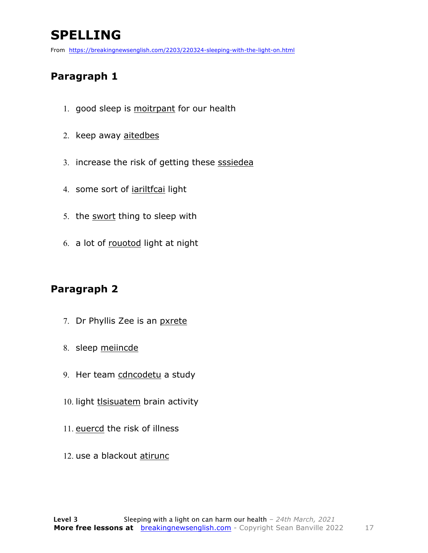### **SPELLING**

From https://breakingnewsenglish.com/2203/220324-sleeping-with-the-light-on.html

#### **Paragraph 1**

- 1. good sleep is moitrpant for our health
- 2. keep away aitedbes
- 3. increase the risk of getting these sssiedea
- 4. some sort of *iariltfcai* light
- 5. the swort thing to sleep with
- 6. a lot of rouotod light at night

#### **Paragraph 2**

- 7. Dr Phyllis Zee is an pxrete
- 8. sleep meiincde
- 9. Her team cdncodetu a study
- 10. light tlsisuatem brain activity
- 11. euercd the risk of illness
- 12. use a blackout atirunc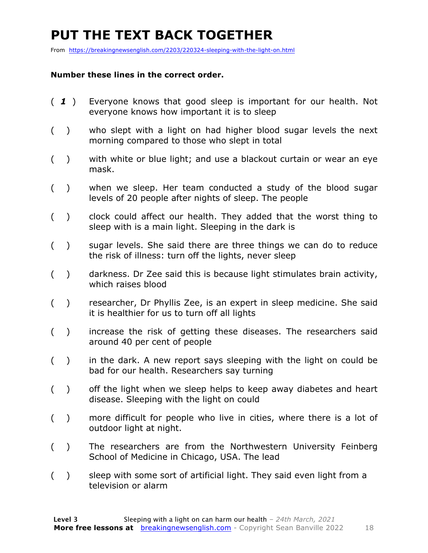### **PUT THE TEXT BACK TOGETHER**

From https://breakingnewsenglish.com/2203/220324-sleeping-with-the-light-on.html

#### **Number these lines in the correct order.**

- ( *1* ) Everyone knows that good sleep is important for our health. Not everyone knows how important it is to sleep
- ( ) who slept with a light on had higher blood sugar levels the next morning compared to those who slept in total
- ( ) with white or blue light; and use a blackout curtain or wear an eye mask.
- ( ) when we sleep. Her team conducted a study of the blood sugar levels of 20 people after nights of sleep. The people
- ( ) clock could affect our health. They added that the worst thing to sleep with is a main light. Sleeping in the dark is
- ( ) sugar levels. She said there are three things we can do to reduce the risk of illness: turn off the lights, never sleep
- ( ) darkness. Dr Zee said this is because light stimulates brain activity, which raises blood
- ( ) researcher, Dr Phyllis Zee, is an expert in sleep medicine. She said it is healthier for us to turn off all lights
- ( ) increase the risk of getting these diseases. The researchers said around 40 per cent of people
- ( ) in the dark. A new report says sleeping with the light on could be bad for our health. Researchers say turning
- ( ) off the light when we sleep helps to keep away diabetes and heart disease. Sleeping with the light on could
- ( ) more difficult for people who live in cities, where there is a lot of outdoor light at night.
- ( ) The researchers are from the Northwestern University Feinberg School of Medicine in Chicago, USA. The lead
- ( ) sleep with some sort of artificial light. They said even light from a television or alarm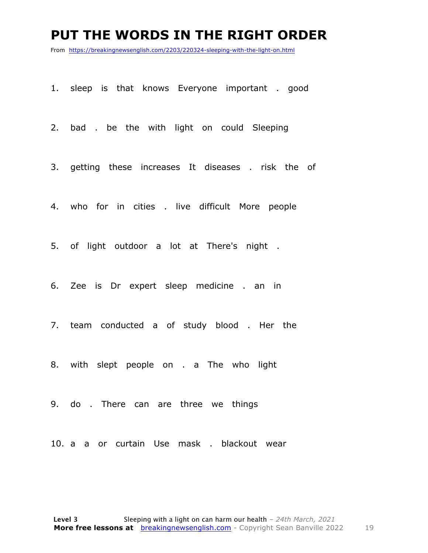#### **PUT THE WORDS IN THE RIGHT ORDER**

From https://breakingnewsenglish.com/2203/220324-sleeping-with-the-light-on.html

1. sleep is that knows Everyone important . good

2. bad . be the with light on could Sleeping

3. getting these increases It diseases . risk the of

4. who for in cities . live difficult More people

5. of light outdoor a lot at There's night .

6. Zee is Dr expert sleep medicine . an in

7. team conducted a of study blood . Her the

8. with slept people on . a The who light

9. do . There can are three we things

10. a a or curtain Use mask . blackout wear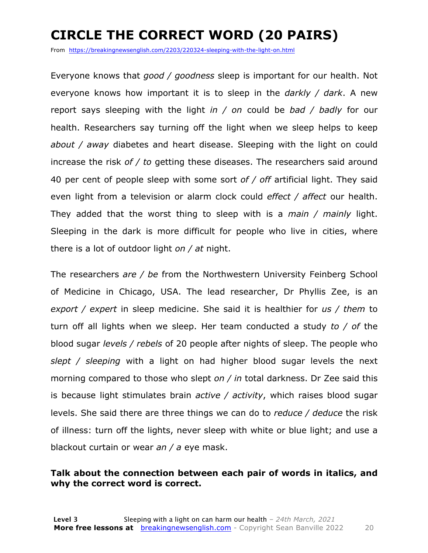### **CIRCLE THE CORRECT WORD (20 PAIRS)**

From https://breakingnewsenglish.com/2203/220324-sleeping-with-the-light-on.html

Everyone knows that *good / goodness* sleep is important for our health. Not everyone knows how important it is to sleep in the *darkly / dark*. A new report says sleeping with the light *in / on* could be *bad / badly* for our health. Researchers say turning off the light when we sleep helps to keep *about / away* diabetes and heart disease. Sleeping with the light on could increase the risk *of / to* getting these diseases. The researchers said around 40 per cent of people sleep with some sort *of / off* artificial light. They said even light from a television or alarm clock could *effect / affect* our health. They added that the worst thing to sleep with is a *main / mainly* light. Sleeping in the dark is more difficult for people who live in cities, where there is a lot of outdoor light *on / at* night.

The researchers *are / be* from the Northwestern University Feinberg School of Medicine in Chicago, USA. The lead researcher, Dr Phyllis Zee, is an *export / expert* in sleep medicine. She said it is healthier for *us / them* to turn off all lights when we sleep. Her team conducted a study *to / of* the blood sugar *levels / rebels* of 20 people after nights of sleep. The people who *slept / sleeping* with a light on had higher blood sugar levels the next morning compared to those who slept *on / in* total darkness. Dr Zee said this is because light stimulates brain *active / activity*, which raises blood sugar levels. She said there are three things we can do to *reduce / deduce* the risk of illness: turn off the lights, never sleep with white or blue light; and use a blackout curtain or wear *an / a* eye mask.

#### **Talk about the connection between each pair of words in italics, and why the correct word is correct.**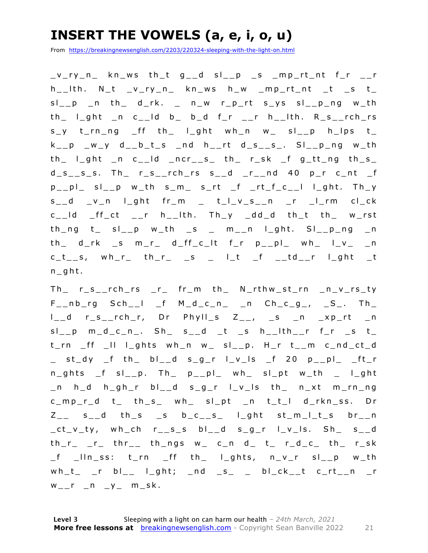### **INSERT THE VOWELS (a, e, i, o, u)**

From https://breakingnewsenglish.com/2203/220324-sleeping-with-the-light-on.html

 $v_r$ ry\_n\_ kn\_ws th\_t g\_\_d sl\_\_p \_s \_mp\_rt\_nt f\_r \_\_r h\_\_lth. N\_t \_v\_ry\_n\_ kn\_ws h\_w \_mp\_rt\_nt \_t \_s t\_  $sl_{p}$  n th d\_rk.  $_{p}$  n\_w r\_p\_rt s\_ys sl\_\_p\_ng w\_th  $th$   $\lceil$   $\lfloor$  ght  $\lfloor$  n c $\lfloor$   $\rfloor$  d b  $\lfloor$  b  $\lfloor$  d f $\lfloor$  r  $\lfloor$   $\lfloor$   $\rfloor$   $\lfloor$   $\lfloor$   $\lfloor$   $\lfloor$   $\lfloor$   $\lfloor$   $\lfloor$   $\lfloor$   $\lfloor$   $\lfloor$   $\lfloor$   $\lfloor$   $\lfloor$   $\lfloor$   $\lfloor$   $\lfloor$   $\lfloor$   $\lfloor$   $\lfloor$   $\lfloor$   $\lfloor$   $\lfloor$  s\_y t\_rn\_ng \_ff th\_ l\_ght wh\_n w\_ sl\_\_p h\_lps t\_  $k_{--}p$   $-w_{-}y$  d<sub>-</sub>b<sub>-</sub>t<sub>-</sub>s  $-$ nd h<sub>--</sub>rt d<sub>-</sub>s<sub>--</sub>s<sub>-</sub>. Sl<sub>--</sub>p<sub>-</sub>ng w<sub>-</sub>th  $th$  l\_ght  $\lfloor n \rfloor$  c\_\_ld  $\lfloor n \rfloor$  ncr $\lfloor s \rfloor$  th  $\lfloor r \rfloor$  r\_sk  $\lfloor f \rfloor$  g\_tt\_ng th\_s\_  $d_s$ <sub>\_s</sub>\_s\_s. Th\_ r\_s\_\_rch\_rs s\_\_d \_r\_\_nd 40 p\_r c\_nt \_f  $p_{--}$ pl\_ sl\_\_p w\_th s\_m\_ s\_rt \_f \_rt\_f\_c\_\_l l\_ght. Th\_y s\_\_d \_v\_n l\_ght fr\_m \_ t\_l\_v\_s\_\_n \_r \_l\_rm cl\_ck  $c$ <sub>\_\_</sub>ld \_ff\_ct \_\_r h\_\_lth. Th\_y \_dd\_d th\_t th\_ w\_rst  $th_n$ g t\_ sl\_p w\_th \_s \_ m\_n l\_ght. Sl\_p\_ng \_n  $th$  d\_rk \_s m\_r\_ d\_ff\_c\_lt f\_r p\_\_pl\_ wh\_ l\_v\_ \_n  $c_t$ <sub>\_s</sub>, wh\_r\_ th\_r\_ \_s \_ l\_t \_f \_\_td\_\_r l\_ght \_t n\_ght.

Th\_ r\_s\_\_rch\_rs \_r\_ fr\_m th\_ N\_rthw\_st\_rn \_n\_v\_rs\_ty  $F_{--}nb_{--}rg$   $Sch_{--}l$   $_f$   $M_d_c_c_n$   $_n$   $Ch_c_g$ ,  $_S_$ . Th  $l_d$  r\_s\_\_rch\_r, Dr Phyll\_s  $Z_{-1}$ , \_s \_n \_xp\_rt \_n  $sl\_p$   $m_d$   $c_n$ .  $Sh$   $s_d$   $t$   $t$   $s$   $h$   $th$ t\_rn \_ff \_ll l\_ghts wh\_n w\_ sl\_\_p. H\_r t\_\_m c\_nd\_ct\_d \_ st\_dy \_f th\_ bl\_\_ d s\_g\_r l\_v\_ls \_f 20 p\_\_pl\_ \_ft\_r n\_ghts \_f sl\_\_p. Th\_ p\_\_pl\_ wh\_ sl\_pt w\_th \_ l\_ght \_n h\_d h\_gh\_r bl\_\_d s\_g\_r l\_v\_ls th\_ n\_xt m\_rn\_ng c\_mp\_r\_d t\_ th\_s\_ wh\_ sl\_pt \_n t\_t\_l d\_rkn\_ss. Dr  $Z_{--}$  s\_\_d th\_s \_s b\_c\_\_s\_ l\_ght st\_m\_l\_t\_s br\_\_n \_ct\_v\_ty, wh\_ch r\_\_s\_s bl\_\_d s\_g\_r l\_v\_ls. Sh\_ s\_\_d  $th_r$ <sub>\_r\_</sub>  $tr$ <sub>\_r</sub> thr<sub>\_\_</sub> th\_ngs w\_ c\_n d\_ t\_ r\_d\_c\_ th\_ r\_sk  $_f$   $\lfloor$ IIn\_ss: t\_rn  $\lfloor$ ff th\_ I\_ghts, n\_v\_r sI\_\_p w\_th  $wh_t$  \_r bl\_\_ l\_ght; \_nd \_s\_ \_ bl\_ck\_\_t c\_rt\_\_n \_r  $W_{--}r_{-}n_{-}y_{-}m_{-}sk.$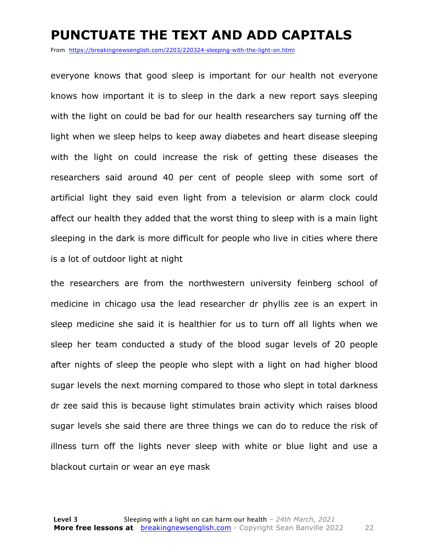#### **PUNCTUATE THE TEXT AND ADD CAPITALS**

From https://breakingnewsenglish.com/2203/220324-sleeping-with-the-light-on.html

everyone knows that good sleep is important for our health not everyone knows how important it is to sleep in the dark a new report says sleeping with the light on could be bad for our health researchers say turning off the light when we sleep helps to keep away diabetes and heart disease sleeping with the light on could increase the risk of getting these diseases the researchers said around 40 per cent of people sleep with some sort of artificial light they said even light from a television or alarm clock could affect our health they added that the worst thing to sleep with is a main light sleeping in the dark is more difficult for people who live in cities where there is a lot of outdoor light at night

the researchers are from the northwestern university feinberg school of medicine in chicago usa the lead researcher dr phyllis zee is an expert in sleep medicine she said it is healthier for us to turn off all lights when we sleep her team conducted a study of the blood sugar levels of 20 people after nights of sleep the people who slept with a light on had higher blood sugar levels the next morning compared to those who slept in total darkness dr zee said this is because light stimulates brain activity which raises blood sugar levels she said there are three things we can do to reduce the risk of illness turn off the lights never sleep with white or blue light and use a blackout curtain or wear an eye mask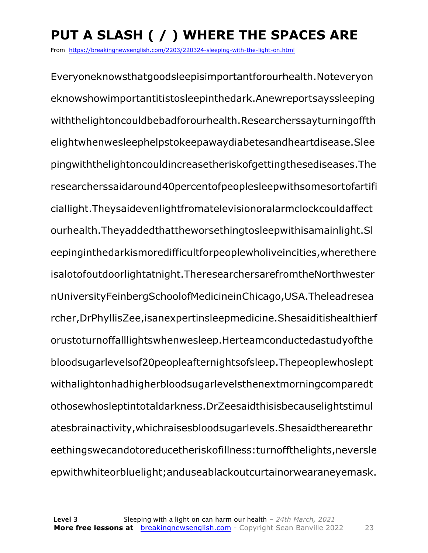## **PUT A SLASH ( / ) WHERE THE SPACES ARE**

From https://breakingnewsenglish.com/2203/220324-sleeping-with-the-light-on.html

Everyoneknowsthatgoodsleepisimportantforourhealth.Noteveryon eknowshowimportantitistosleepinthedark.Anewreportsayssleeping withthelightoncouldbebadforourhealth.Researcherssayturningoffth elightwhenwesleephelpstokeepawaydiabetesandheartdisease.Slee pingwiththelightoncouldincreasetheriskofgettingthesediseases.The researcherssaidaround40percentofpeoplesleepwithsomesortofartifi ciallight.Theysaidevenlightfromatelevisionoralarmclockcouldaffect ourhealth.Theyaddedthattheworsethingtosleepwithisamainlight.Sl eepinginthedarkismoredifficultforpeoplewholiveincities,wherethere isalotofoutdoorlightatnight.TheresearchersarefromtheNorthwester nUniversityFeinbergSchoolofMedicineinChicago,USA.Theleadresea rcher,DrPhyllisZee,isanexpertinsleepmedicine.Shesaiditishealthierf orustoturnoffalllightswhenwesleep.Herteamconductedastudyofthe bloodsugarlevelsof20peopleafternightsofsleep.Thepeoplewhoslept withalightonhadhigherbloodsugarlevelsthenextmorningcomparedt othosewhosleptintotaldarkness.DrZeesaidthisisbecauselightstimul atesbrainactivity,whichraisesbloodsugarlevels.Shesaidtherearethr eethingswecandotoreducetheriskofillness:turnoffthelights,neversle epwithwhiteorbluelight;anduseablackoutcurtainorwearaneyemask.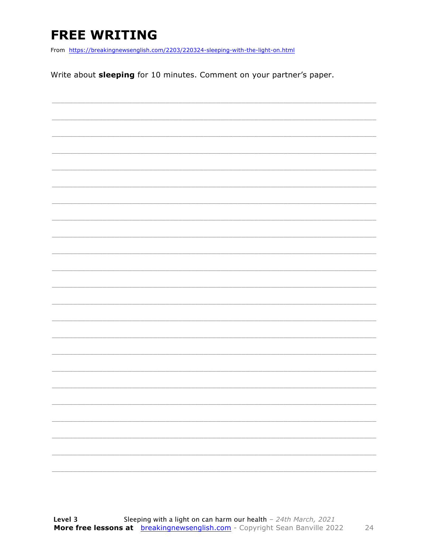### **FREE WRITING**

From https://breakingnewsenglish.com/2203/220324-sleeping-with-the-light-on.html

Write about sleeping for 10 minutes. Comment on your partner's paper.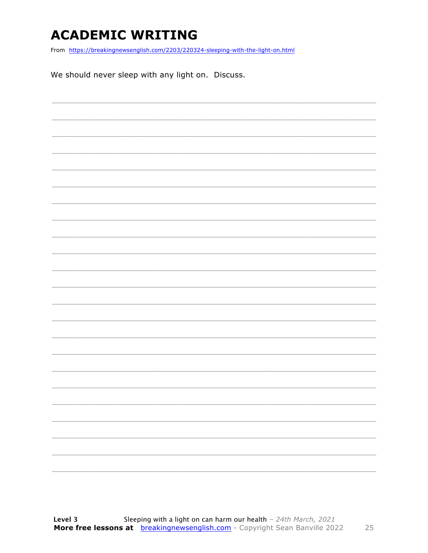### **ACADEMIC WRITING**

From https://breakingnewsenglish.com/2203/220324-sleeping-with-the-light-on.html

We should never sleep with any light on. Discuss.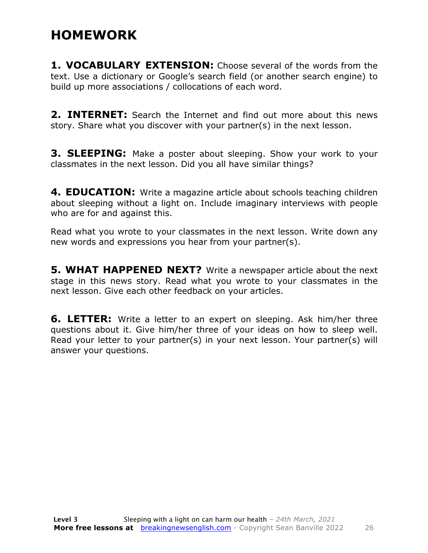#### **HOMEWORK**

**1. VOCABULARY EXTENSION:** Choose several of the words from the text. Use a dictionary or Google's search field (or another search engine) to build up more associations / collocations of each word.

**2. INTERNET:** Search the Internet and find out more about this news story. Share what you discover with your partner(s) in the next lesson.

**3. SLEEPING:** Make a poster about sleeping. Show your work to your classmates in the next lesson. Did you all have similar things?

**4. EDUCATION:** Write a magazine article about schools teaching children about sleeping without a light on. Include imaginary interviews with people who are for and against this.

Read what you wrote to your classmates in the next lesson. Write down any new words and expressions you hear from your partner(s).

**5. WHAT HAPPENED NEXT?** Write a newspaper article about the next stage in this news story. Read what you wrote to your classmates in the next lesson. Give each other feedback on your articles.

**6. LETTER:** Write a letter to an expert on sleeping. Ask him/her three questions about it. Give him/her three of your ideas on how to sleep well. Read your letter to your partner(s) in your next lesson. Your partner(s) will answer your questions.